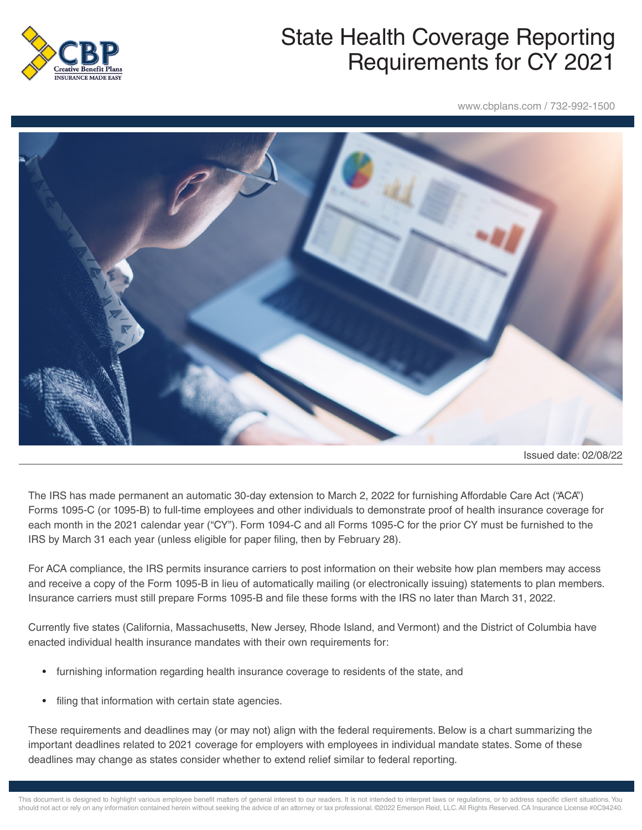

## State Health Coverage Reporting Requirements for CY 2021

www.cbplans.com / 732-992-1500



Issued date: 02/08/22

The IRS has made permanent an automatic 30-day extension to March 2, 2022 for furnishing Affordable Care Act ("ACA") Forms 1095-C (or 1095-B) to full-time employees and other individuals to demonstrate proof of health insurance coverage for each month in the 2021 calendar year ("CY"). Form 1094-C and all Forms 1095-C for the prior CY must be furnished to the IRS by March 31 each year (unless eligible for paper filing, then by February 28).

For ACA compliance, the IRS permits insurance carriers to post information on their website how plan members may access and receive a copy of the Form 1095-B in lieu of automatically mailing (or electronically issuing) statements to plan members. Insurance carriers must still prepare Forms 1095-B and file these forms with the IRS no later than March 31, 2022.

Currently five states (California, Massachusetts, New Jersey, Rhode Island, and Vermont) and the District of Columbia have enacted individual health insurance mandates with their own requirements for:

- furnishing information regarding health insurance coverage to residents of the state, and
- filing that information with certain state agencies.

These requirements and deadlines may (or may not) align with the federal requirements. Below is a chart summarizing the important deadlines related to 2021 coverage for employers with employees in individual mandate states. Some of these deadlines may change as states consider whether to extend relief similar to federal reporting.